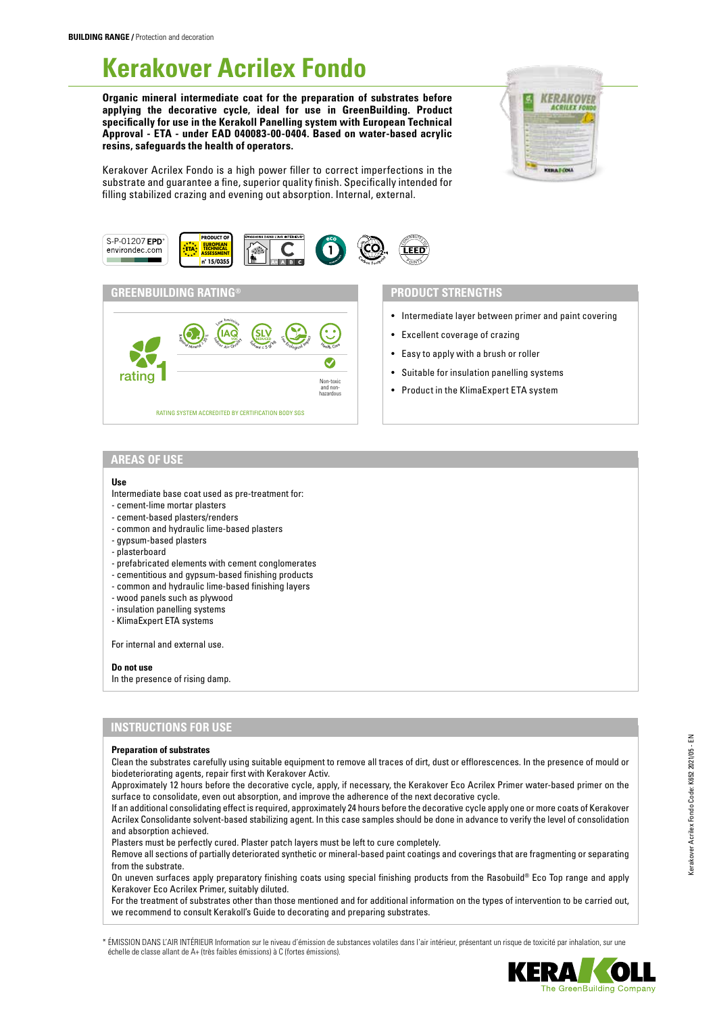# **Kerakover Acrilex Fondo**

**Organic mineral intermediate coat for the preparation of substrates before applying the decorative cycle, ideal for use in GreenBuilding. Product specifically for use in the Kerakoll Panelling system with European Technical Approval - ETA - under EAD 040083-00-0404. Based on water-based acrylic resins, safeguards the health of operators.**



Kerakover Acrilex Fondo is a high power filler to correct imperfections in the substrate and guarantee a fine, superior quality finish. Specifically intended for filling stabilized crazing and evening out absorption. Internal, external.



# **GREENBUILDING RATING® PRODUCT STRENGTHS**



- Intermediate layer between primer and paint covering
- Excellent coverage of crazing
- Easy to apply with a brush or roller
- Suitable for insulation panelling systems
- Product in the KlimaExpert ETA system

# **AREAS OF USE**

#### **Use**

- Intermediate base coat used as pre-treatment for:
- cement-lime mortar plasters
- cement-based plasters/renders
- common and hydraulic lime-based plasters
- gypsum-based plasters
- plasterboard
- prefabricated elements with cement conglomerates
- cementitious and gypsum-based finishing products
- common and hydraulic lime-based finishing layers
- wood panels such as plywood
- insulation panelling systems
- KlimaExpert ETA systems

For internal and external use.

#### **Do not use**

In the presence of rising damp.

# **INSTRUCTIONS FOR USE**

#### **Preparation of substrates**

Clean the substrates carefully using suitable equipment to remove all traces of dirt, dust or efflorescences. In the presence of mould or biodeteriorating agents, repair first with Kerakover Activ.

Approximately 12 hours before the decorative cycle, apply, if necessary, the Kerakover Eco Acrilex Primer water-based primer on the surface to consolidate, even out absorption, and improve the adherence of the next decorative cycle.

If an additional consolidating effect is required, approximately 24 hours before the decorative cycle apply one or more coats of Kerakover Acrilex Consolidante solvent-based stabilizing agent. In this case samples should be done in advance to verify the level of consolidation and absorption achieved.

Plasters must be perfectly cured. Plaster patch layers must be left to cure completely.

Remove all sections of partially deteriorated synthetic or mineral-based paint coatings and coverings that are fragmenting or separating from the substrate.

On uneven surfaces apply preparatory finishing coats using special finishing products from the Rasobuild® Eco Top range and apply Kerakover Eco Acrilex Primer, suitably diluted.

For the treatment of substrates other than those mentioned and for additional information on the types of intervention to be carried out, we recommend to consult Kerakoll's Guide to decorating and preparing substrates.

\* ÉMISSION DANS L'AIR INTÉRIEUR Information sur le niveau d'émission de substances volatiles dans l'air intérieur, présentant un risque de toxicité par inhalation, sur une échelle de classe allant de A+ (très faibles émissions) à C (fortes émissions).